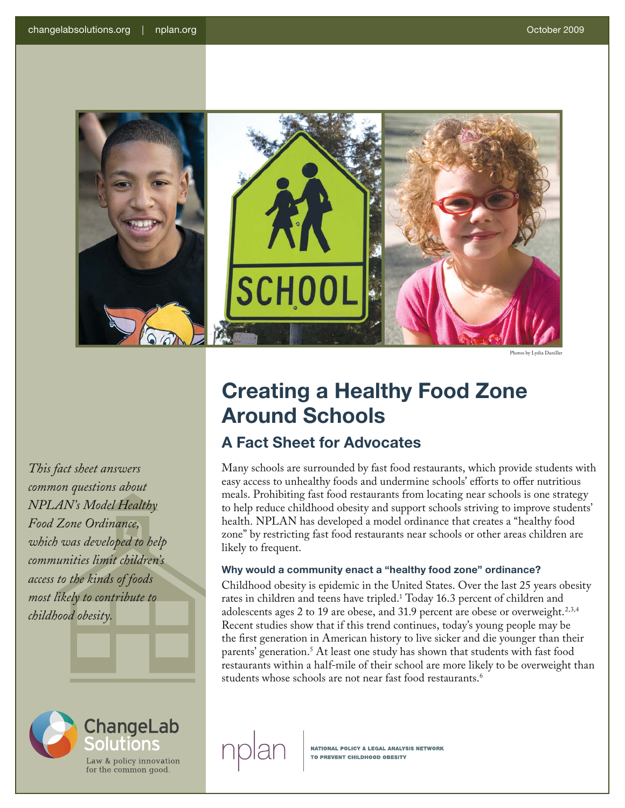

Photos by Lydia Daniller

*This fact sheet answers common questions about NPLAN's Model Healthy Food Zone Ordinance, which was developed to help communities limit children's access to the kinds of foods most likely to contribute to childhood obesity.*



# **Creating a Healthy Food Zone Around Schools**

## **A Fact Sheet for Advocates**

Many schools are surrounded by fast food restaurants, which provide students with easy access to unhealthy foods and undermine schools' efforts to offer nutritious meals. Prohibiting fast food restaurants from locating near schools is one strategy to help reduce childhood obesity and support schools striving to improve students' health. NPLAN has developed a model ordinance that creates a "healthy food zone" by restricting fast food restaurants near schools or other areas children are likely to frequent.

### **Why would a community enact a "healthy food zone" ordinance?**

Childhood obesity is epidemic in the United States. Over the last 25 years obesity rates in children and teens have tripled.1 Today 16.3 percent of children and adolescents ages 2 to 19 are obese, and 31.9 percent are obese or overweight.<sup>2,3,4</sup> Recent studies show that if this trend continues, today's young people may be the first generation in American history to live sicker and die younger than their parents' generation.<sup>5</sup> At least one study has shown that students with fast food restaurants within a half-mile of their school are more likely to be overweight than students whose schools are not near fast food restaurants.<sup>6</sup>

**NATIONAL POLICY & LEGAL ANALYSIS NETWORK**